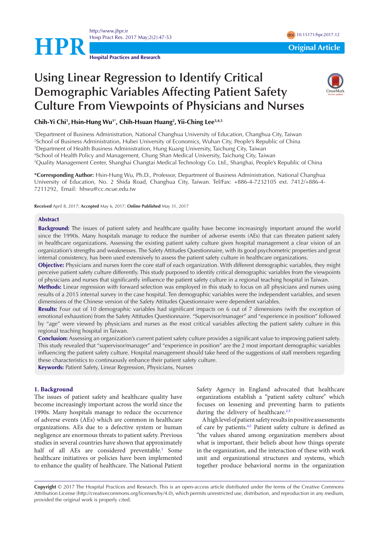<http://www.jhpr.ir> Hosp Pract Res. 2017 May;2(2):47-53 doi [10.15171/hpr.2017.12](http://dx.doi.org/10.15171/hpr.2017.12)



# **Using Linear Regression to Identify Critical Demographic Variables Affecting Patient Safety Culture From Viewpoints of Physicians and Nurses**



**Chih-Yi Chi1 , Hsin-Hung Wu1\*, Chih-Hsuan Huang2 , Yii-Ching Lee3,4,5**

 Department of Business Administration, National Changhua University of Education, Changhua City, Taiwan School of Business Administration, Hubei University of Economics, Wuhan City, People's Republic of China Department of Health Business Administration, Hung Kuang University, Taichung City, Taiwan School of Health Policy and Management, Chung Shan Medical University, Taichung City, Taiwan Quality Management Center, Shanghai Changtai Medical Technology Co. Ltd., Shanghai, People's Republic of China

**\*Corresponding Author:** Hsin-Hung Wu, Ph.D., Professor, Department of Business Administration, National Changhua University of Education, No. 2 Shida Road, Changhua City, Taiwan. Tel/Fax: +886-4-7232105 ext. 7412/+886-4- 7211292, Email: hhwu@cc.ncue.edu.tw

**Received** April 8, 2017; **Accepted** May 6, 2017; **Online Published** May 31, 2017

### **Abstract**

**Background:** The issues of patient safety and healthcare quality have become increasingly important around the world since the 1990s. Many hospitals manage to reduce the number of adverse events (AEs) that can threaten patient safety in healthcare organizations. Assessing the existing patient safety culture gives hospital management a clear vision of an organization's strengths and weaknesses. The Safety Attitudes Questionnaire, with its good psychometric properties and great internal consistency, has been used extensively to assess the patient safety culture in healthcare organizations.

**Objective:** Physicians and nurses form the core staff of each organization. With different demographic variables, they might perceive patient safety culture differently. This study purposed to identify critical demographic variables from the viewpoints of physicians and nurses that significantly influence the patient safety culture in a regional teaching hospital in Taiwan.

**Methods:** Linear regression with forward selection was employed in this study to focus on all physicians and nurses using results of a 2015 internal survey in the case hospital. Ten demographic variables were the independent variables, and seven dimensions of the Chinese version of the Safety Attitudes Questionnaire were dependent variables.

**Results:** Four out of 10 demographic variables had significant impacts on 6 out of 7 dimensions (with the exception of emotional exhaustion) from the Safety Attitudes Questionnaire. "Supervisor/manager" and "experience in position" followed by "age" were viewed by physicians and nurses as the most critical variables affecting the patient safety culture in this regional teaching hospital in Taiwan.

**Conclusion:** Assessing an organization's current patient safety culture provides a significant value to improving patient safety. This study revealed that "supervisor/manager" and "experience in position" are the 2 most important demographic variables influencing the patient safety culture. Hospital management should take heed of the suggestions of staff members regarding these characteristics to continuously enhance their patient safety culture.

**Keywords:** Patient Safety, Linear Regression, Physicians, Nurses

# **1. Background**

The issues of patient safety and healthcare quality have become increasingly important across the world since the 1990s. Many hospitals manage to reduce the occurrence of adverse events (AEs) which are common in healthcare organizations. AEs due to a defective system or human negligence are enormous threats to patient safety. Previous studies in several countries have shown that approximately half of all AEs are considered preventable.<sup>[1](#page-5-0)</sup> Some healthcare initiatives or policies have been implemented to enhance the quality of healthcare. The National Patient Safety Agency in England advocated that healthcare organizations establish a "patient safety culture" which focuses on lessening and preventing harm to patients during the delivery of healthcare.<sup>2[,3](#page-5-2)</sup>

A high level of patient safety results in positive assessments of care by patients[.4](#page-5-3)[,5](#page-5-4) Patient safety culture is defined as "the values shared among organization members about what is important, their beliefs about how things operate in the organization, and the interaction of these with work unit and organizational structures and systems, which together produce behavioral norms in the organization

**Copyright** © 2017 The Hospital Practices and Research. This is an open-access article distributed under the terms of the Creative Commons Attribution License (http://creativecommons.org/licenses/by/4.0), which permits unrestricted use, distribution, and reproduction in any medium, provided the original work is properly cited.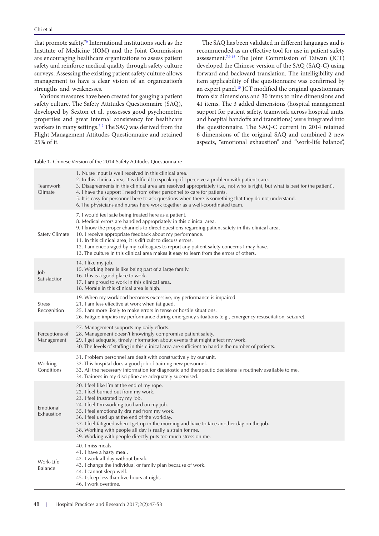that promote safety.["6](#page-5-5) International institutions such as the Institute of Medicine (IOM) and the Joint Commission are encouraging healthcare organizations to assess patient safety and reinforce medical quality through safety culture surveys. Assessing the existing patient safety culture allows management to have a clear vision of an organization's strengths and weaknesses.

Various measures have been created for gauging a patient safety culture. The Safety Attitudes Questionnaire (SAQ), developed by Sexton et al, possesses good psychometric properties and great internal consistency for healthcare workers in many settings.<sup>[7-](#page-5-6)[9](#page-5-7)</sup> The SAQ was derived from the Flight Management Attitudes Questionnaire and retained 25% of it.

The SAQ has been validated in different languages and is recommended as an effective tool for use in patient safety assessment[.7](#page-5-6)[,9](#page-5-7)[-15](#page-5-8) The Joint Commission of Taiwan (JCT) developed the Chinese version of the SAQ (SAQ-C) using forward and backward translation. The intelligibility and item applicability of the questionnaire was confirmed by an expert panel.<sup>[15](#page-5-8)</sup> JCT modified the original questionnaire from six dimensions and 30 items to nine dimensions and 41 items. The 3 added dimensions (hospital management support for patient safety, teamwork across hospital units, and hospital handoffs and transitions) were integrated into the questionnaire. The SAQ-C current in 2014 retained 6 dimensions of the original SAQ and combined 2 new aspects, "emotional exhaustion" and "work-life balance",

<span id="page-1-0"></span>**Table 1.** Chinese Version of the 2014 Safety Attitudes Questionnaire

| Teamwork<br>Climate          | 1. Nurse input is well received in this clinical area.<br>2. In this clinical area, it is difficult to speak up if I perceive a problem with patient care.<br>3. Disagreements in this clinical area are resolved appropriately (i.e., not who is right, but what is best for the patient).<br>4. I have the support I need from other personnel to care for patients.<br>5. It is easy for personnel here to ask questions when there is something that they do not understand.<br>6. The physicians and nurses here work together as a well-coordinated team. |
|------------------------------|-----------------------------------------------------------------------------------------------------------------------------------------------------------------------------------------------------------------------------------------------------------------------------------------------------------------------------------------------------------------------------------------------------------------------------------------------------------------------------------------------------------------------------------------------------------------|
| Safety Climate               | 7. I would feel safe being treated here as a patient.<br>8. Medical errors are handled appropriately in this clinical area.<br>9. I know the proper channels to direct questions regarding patient safety in this clinical area.<br>10. I receive appropriate feedback about my performance.<br>11. In this clinical area, it is difficult to discuss errors.<br>12. I am encouraged by my colleagues to report any patient safety concerns I may have.<br>13. The culture in this clinical area makes it easy to learn from the errors of others.              |
| Job<br>Satisfaction          | 14. I like my job.<br>15. Working here is like being part of a large family.<br>16. This is a good place to work.<br>17. I am proud to work in this clinical area.<br>18. Morale in this clinical area is high.                                                                                                                                                                                                                                                                                                                                                 |
| <b>Stress</b><br>Recognition | 19. When my workload becomes excessive, my performance is impaired.<br>21. I am less effective at work when fatigued.<br>25. I am more likely to make errors in tense or hostile situations.<br>26. Fatigue impairs my performance during emergency situations (e.g., emergency resuscitation, seizure).                                                                                                                                                                                                                                                        |
| Perceptions of<br>Management | 27. Management supports my daily efforts.<br>28. Management doesn't knowingly compromise patient safety.<br>29. I get adequate, timely information about events that might affect my work.<br>30. The levels of staffing in this clinical area are sufficient to handle the number of patients.                                                                                                                                                                                                                                                                 |
| Working<br>Conditions        | 31. Problem personnel are dealt with constructively by our unit.<br>32. This hospital does a good job of training new personnel.<br>33. All the necessary information for diagnostic and therapeutic decisions is routinely available to me.<br>34. Trainees in my discipline are adequately supervised.                                                                                                                                                                                                                                                        |
| Emotional<br>Exhaustion      | 20. I feel like I'm at the end of my rope.<br>22. I feel burned out from my work.<br>23. I feel frustrated by my job.<br>24. I feel I'm working too hard on my job.<br>35. I feel emotionally drained from my work.<br>36. I feel used up at the end of the workday.<br>37. I feel fatigued when I get up in the morning and have to face another day on the job.<br>38. Working with people all day is really a strain for me.<br>39. Working with people directly puts too much stress on me.                                                                 |
| Work-Life<br><b>Balance</b>  | 40. I miss meals.<br>41. I have a hasty meal.<br>42. I work all day without break.<br>43. I change the individual or family plan because of work.<br>44. I cannot sleep well.<br>45. I sleep less than five hours at night.<br>46. I work overtime.                                                                                                                                                                                                                                                                                                             |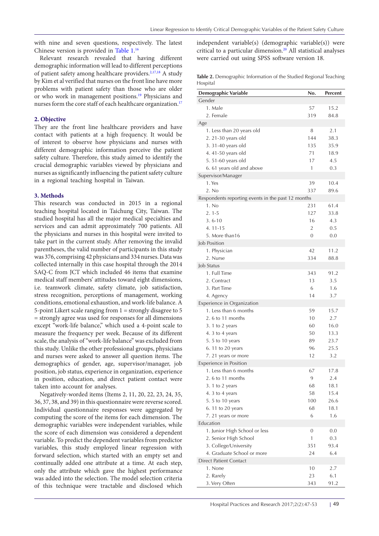with nine and seven questions, respectively. The latest Chinese version is provided in [Table 1](#page-1-0). [16](#page-6-0)

Relevant research revealed that having different demographic information will lead to different perceptions of patient safety among healthcare providers.<sup>2,[17](#page-6-1)[,18](#page-6-2)</sup> A study by Kim et al verified that nurses on the front line have more problems with patient safety than those who are older or who work in management positions.[19](#page-6-3) Physicians and nurses form the core staff of each healthcare organization.<sup>[17](#page-6-1)</sup>

# **2. Objective**

They are the front line healthcare providers and have contact with patients at a high frequency. It would be of interest to observe how physicians and nurses with different demographic information perceive the patient safety culture. Therefore, this study aimed to identify the crucial demographic variables viewed by physicians and nurses as significantly influencing the patient safety culture in a regional teaching hospital in Taiwan.

# **3. Methods**

This research was conducted in 2015 in a regional teaching hospital located in Taichung City, Taiwan. The studied hospital has all the major medical specialties and services and can admit approximately 700 patients. All the physicians and nurses in this hospital were invited to take part in the current study. After removing the invalid parentheses, the valid number of participants in this study was 376, comprising 42 physicians and 334 nurses. Data was collected internally in this case hospital through the 2014 SAQ-C from JCT which included 46 items that examine medical staff members' attitudes toward eight dimensions, i.e. teamwork climate, safety climate, job satisfaction, stress recognition, perceptions of management, working conditions, emotional exhaustion, and work-life balance. A 5-point Likert scale ranging from 1 = strongly disagree to 5 = strongly agree was used for responses for all dimensions except "work-life balance," which used a 4-point scale to measure the frequency per week. Because of its different scale, the analysis of "work-life balance" was excluded from this study. Unlike the other professional groups, physicians and nurses were asked to answer all question items. The demographics of gender, age, supervisor/manager, job position, job status, experience in organization, experience in position, education, and direct patient contact were taken into account for analyses.

Negatively-worded items (Items 2, 11, 20, 22, 23, 24, 35, 36, 37, 38, and 39) in this questionnaire were reverse scored. Individual questionnaire responses were aggregated by computing the score of the items for each dimension. The demographic variables were independent variables, while the score of each dimension was considered a dependent variable. To predict the dependent variables from predictor variables, this study employed linear regression with forward selection, which started with an empty set and continually added one attribute at a time. At each step, only the attribute which gave the highest performance was added into the selection. The model selection criteria of this technique were tractable and disclosed which

independent variable(s) (demographic variable(s)) were critical to a particular dimension.[20](#page-6-4) All statistical analyses were carried out using SPSS software version 18.

**Table 2.** Demographic Information of the Studied Regional Teaching Hospital

| <b>Demographic Variable</b>                        | No. | <b>Percent</b> |
|----------------------------------------------------|-----|----------------|
| Gender                                             |     |                |
| 1. Male                                            | 57  | 15.2           |
| 2. Female                                          | 319 | 84.8           |
| Age                                                |     |                |
| 1. Less than 20 years old                          | 8   | 2.1            |
| 2.21-30 years old                                  | 144 | 38.3           |
| 3.31-40 years old                                  | 135 | 35.9           |
| 4.41-50 years old                                  | 71  | 18.9           |
| 5.51-60 years old                                  | 17  | 4.5            |
| 6.61 years old and above                           | 1   | 0.3            |
| Supervisor/Manager                                 |     |                |
| 1. Yes                                             | 39  | 10.4           |
| 2. No                                              | 337 | 89.6           |
| Respondents reporting events in the past 12 months |     |                |
| 1. No                                              | 231 | 61.4           |
| $2.1 - 5$                                          | 127 | 33.8           |
| $3.6 - 10$                                         | 16  | 4.3            |
| 4.11-15                                            | 2   | 0.5            |
| 5. More than16                                     | 0   | 0.0            |
| Job Position                                       |     |                |
| 1. Physician                                       | 42  | 11.2           |
| 2. Nurse                                           | 334 | 88.8           |
| Job Status                                         |     |                |
| 1. Full Time                                       | 343 | 91.2           |
| 2. Contract                                        | 13  | 3.5            |
| 3. Part Time                                       | 6   | 1.6            |
| 4. Agency                                          | 14  | 3.7            |
| Experience in Organization                         |     |                |
| 1. Less than 6 months                              | 59  | 15.7           |
| 2.6 to 11 months                                   | 10  | 2.7            |
| 3.1 to 2 years                                     | 60  | 16.0           |
| 4. 3 to 4 years                                    | 50  | 13.3           |
| 5.5 to 10 years                                    | 89  | 23.7           |
| 6. 11 to 20 years                                  | 96  | 25.5           |
| 7.21 years or more                                 | 12  | 3.2            |
| Experience in Position                             |     |                |
| 1. Less than 6 months                              | 67  | 17.8           |
| 2.6 to 11 months                                   | 9   | 2.4            |
| 3.1 to 2 years                                     | 68  | 18.1           |
| 4. 3 to 4 years                                    | 58  | 15.4           |
| 5.5 to 10 years                                    | 100 | 26.6           |
| 6. 11 to 20 years                                  | 68  | 18.1           |
| 7.21 years or more                                 | 6   | 1.6            |
| Education                                          |     |                |
| 1. Junior High School or less                      | 0   | 0.0            |
| 2. Senior High School                              | 1   | 0.3            |
| 3. College/University                              | 351 | 93.4           |
| 4. Graduate School or more                         | 24  | 6.4            |
| <b>Direct Patient Contact</b>                      |     |                |
| 1. None                                            | 10  | 2.7            |
| 2. Rarely                                          | 23  | 6.1            |
| 3. Very Often                                      | 343 | 91.2           |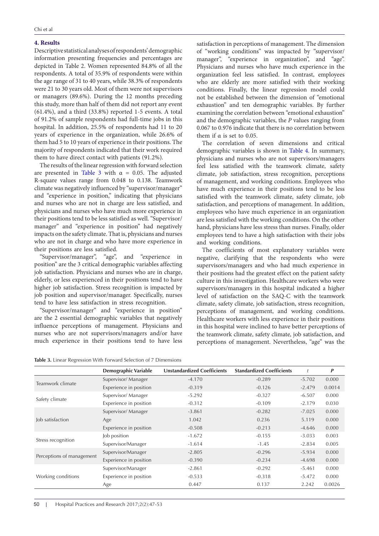#### **4. Results**

Descriptive statistical analyses of respondents' demographic information presenting frequencies and percentages are depicted in Table 2. Women represented 84.8% of all the respondents. A total of 35.9% of respondents were within the age range of 31 to 40 years, while 38.3% of respondents were 21 to 30 years old. Most of them were not supervisors or managers (89.6%). During the 12 months preceding this study, more than half of them did not report any event (61.4%), and a third (33.8%) reported 1-5 events. A total of 91.2% of sample respondents had full-time jobs in this hospital. In addition, 25.5% of respondents had 11 to 20 years of experience in the organization, while 26.6% of them had 5 to 10 years of experience in their positions. The majority of respondents indicated that their work required them to have direct contact with patients (91.2%).

The results of the linear regression with forward selection are presented in [Table 3](#page-3-0) with  $\alpha = 0.05$ . The adjusted R-square values range from 0.048 to 0.138. Teamwork climate was negatively influenced by "supervisor/manager" and "experience in position," indicating that physicians and nurses who are not in charge are less satisfied, and physicians and nurses who have much more experience in their positions tend to be less satisfied as well. "Supervisor/ manager" and "experience in position" had negatively impacts on the safety climate. That is, physicians and nurses who are not in charge and who have more experience in their positions are less satisfied.

"Supervisor/manager", "age", and "experience in position" are the 3 critical demographic variables affecting job satisfaction. Physicians and nurses who are in charge, elderly, or less experienced in their positions tend to have higher job satisfaction. Stress recognition is impacted by job position and supervisor/manager. Specifically, nurses tend to have less satisfaction in stress recognition.

"Supervisor/manager" and "experience in position" are the 2 essential demographic variables that negatively influence perceptions of management. Physicians and nurses who are not supervisors/managers and/or have much experience in their positions tend to have less

<span id="page-3-0"></span>**Table 3.** Linear Regression With Forward Selection of 7 Dimensions

satisfaction in perceptions of management. The dimension of "working conditions" was impacted by "supervisor/ manager", "experience in organization", and "age". Physicians and nurses who have much experience in the organization feel less satisfied. In contrast, employees who are elderly are more satisfied with their working conditions. Finally, the linear regression model could not be established between the dimension of "emotional exhaustion" and ten demographic variables. By further examining the correlation between "emotional exhaustion" and the demographic variables, the *P* values ranging from 0.067 to 0.976 indicate that there is no correlation between them if  $\alpha$  is set to 0.05.

The correlation of seven dimensions and critical demographic variables is shown in [Table 4.](#page-4-0) In summary, physicians and nurses who are not supervisors/managers feel less satisfied with the teamwork climate, safety climate, job satisfaction, stress recognition, perceptions of management, and working conditions. Employees who have much experience in their positions tend to be less satisfied with the teamwork climate, safety climate, job satisfaction, and perceptions of management. In addition, employees who have much experience in an organization are less satisfied with the working conditions. On the other hand, physicians have less stress than nurses. Finally, older employees tend to have a high satisfaction with their jobs and working conditions.

The coefficients of most explanatory variables were negative, clarifying that the respondents who were supervisors/managers and who had much experience in their positions had the greatest effect on the patient safety culture in this investigation. Healthcare workers who were supervisors/managers in this hospital indicated a higher level of satisfaction on the SAQ-C with the teamwork climate, safety climate, job satisfaction, stress recognition, perceptions of management, and working conditions. Healthcare workers with less experience in their positions in this hospital were inclined to have better perceptions of the teamwork climate, safety climate, job satisfaction, and perceptions of management. Nevertheless, "age" was the

|                           | <b>Demographic Variable</b> | <b>Unstandardized Coefficients</b>                                                                                                                                                                                                                                                                            | <b>Standardized Coefficients</b> |                                                                                           | P      |
|---------------------------|-----------------------------|---------------------------------------------------------------------------------------------------------------------------------------------------------------------------------------------------------------------------------------------------------------------------------------------------------------|----------------------------------|-------------------------------------------------------------------------------------------|--------|
|                           | Supervisor/Manager          | $-4.170$<br>$-0.289$<br>$-0.319$<br>$-0.126$<br>$-5.292$<br>$-0.327$<br>$-0.312$<br>$-0.109$<br>$-3.861$<br>$-0.282$<br>1.042<br>0.236<br>$-0.213$<br>$-0.508$<br>$-0.155$<br>$-1.672$<br>$-1.614$<br>$-1.45$<br>$-0.296$<br>$-2.805$<br>$-0.390$<br>$-0.234$<br>$-2.861$<br>$-0.292$<br>$-0.533$<br>$-0.318$ | $-5.702$                         | 0.000                                                                                     |        |
| Teamwork climate          | Experience in position      |                                                                                                                                                                                                                                                                                                               |                                  | $-2.479$                                                                                  | 0.0014 |
|                           | Supervisor/Manager          |                                                                                                                                                                                                                                                                                                               | 0.137                            | $-6.507$                                                                                  | 0.000  |
| Safety climate            | Experience in position      |                                                                                                                                                                                                                                                                                                               |                                  | $-2.179$                                                                                  | 0.030  |
|                           | Supervisor/Manager          |                                                                                                                                                                                                                                                                                                               |                                  | $-7.025$                                                                                  | 0.000  |
| Job satisfaction          | Age                         |                                                                                                                                                                                                                                                                                                               |                                  | 5.119                                                                                     | 0.000  |
|                           | Experience in position      |                                                                                                                                                                                                                                                                                                               |                                  | $-4.646$<br>$-3.033$<br>$-2.834$<br>$-5.934$<br>$-4.698$<br>$-5.461$<br>$-5.472$<br>2.242 | 0.000  |
|                           | Job position                |                                                                                                                                                                                                                                                                                                               |                                  |                                                                                           | 0.003  |
| Stress recognition        | Supervisor/Manager          |                                                                                                                                                                                                                                                                                                               |                                  |                                                                                           | 0.005  |
|                           | Supervisor/Manager          |                                                                                                                                                                                                                                                                                                               |                                  |                                                                                           | 0.000  |
| Perceptions of management | Experience in position      |                                                                                                                                                                                                                                                                                                               |                                  |                                                                                           | 0.000  |
|                           | Supervisor/Manager          |                                                                                                                                                                                                                                                                                                               |                                  |                                                                                           | 0.000  |
| Working conditions        | Experience in position      |                                                                                                                                                                                                                                                                                                               |                                  |                                                                                           | 0.000  |
|                           | Age                         | 0.447                                                                                                                                                                                                                                                                                                         |                                  |                                                                                           | 0.0026 |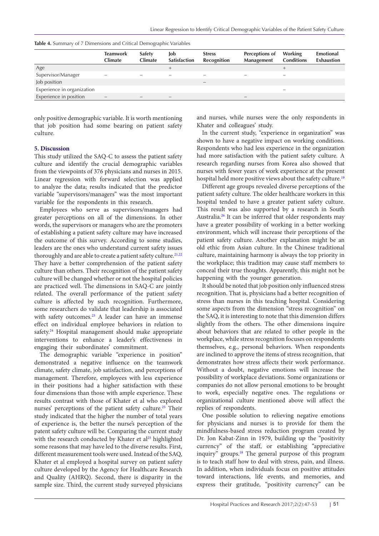|                            | <b>Teamwork</b><br><b>Climate</b> | <b>Safety</b><br><b>Climate</b> | Job<br><b>Satisfaction</b> | <b>Stress</b><br><b>Recognition</b> | Perceptions of<br>Management | Working<br><b>Conditions</b> | Emotional<br><b>Exhaustion</b> |
|----------------------------|-----------------------------------|---------------------------------|----------------------------|-------------------------------------|------------------------------|------------------------------|--------------------------------|
| Age                        |                                   |                                 | $^{+}$                     |                                     |                              |                              |                                |
| Supervisor/Manager         |                                   |                                 |                            |                                     |                              |                              |                                |
| Job position               |                                   |                                 |                            |                                     |                              |                              |                                |
| Experience in organization |                                   |                                 |                            |                                     |                              |                              |                                |
| Experience in position     |                                   |                                 |                            |                                     | $\overline{\phantom{0}}$     |                              |                                |

<span id="page-4-0"></span>

| Table 4. Summary of 7 Dimensions and Critical Demographic Variables |  |  |  |  |  |  |
|---------------------------------------------------------------------|--|--|--|--|--|--|
|---------------------------------------------------------------------|--|--|--|--|--|--|

only positive demographic variable. It is worth mentioning that job position had some bearing on patient safety culture.

### **5. Discussion**

This study utilized the SAQ-C to assess the patient safety culture and identify the crucial demographic variables from the viewpoints of 376 physicians and nurses in 2015. Linear regression with forward selection was applied to analyze the data; results indicated that the predictor variable "supervisors/managers" was the most important variable for the respondents in this research.

Employees who serve as supervisors/managers had greater perceptions on all of the dimensions. In other words, the supervisors or managers who are the promoters of establishing a patient safety culture may have increased the outcome of this survey. According to some studies, leaders are the ones who understand current safety issues thoroughly and are able to create a patient safety culture.<sup>[21](#page-6-5),[22](#page-6-6)</sup> They have a better comprehension of the patient safety culture than others. Their recognition of the patient safety culture will be changed whether or not the hospital policies are practiced well. The dimensions in SAQ-C are jointly related. The overall performance of the patient safety culture is affected by such recognition. Furthermore, some researchers do validate that leadership is associated with safety outcomes.<sup>23</sup> A leader can have an immense effect on individual employee behaviors in relation to safety.<sup>24</sup> Hospital management should make appropriate interventions to enhance a leader's effectiveness in engaging their subordinates' commitment.

The demographic variable "experience in position" demonstrated a negative influence on the teamwork climate, safety climate, job satisfaction, and perceptions of management. Therefore, employees with less experience in their positions had a higher satisfaction with these four dimensions than those with ample experience. These results contrast with those of Khater et al who explored nurses' perceptions of the patient safety culture.<sup>25</sup> Their study indicated that the higher the number of total years of experience is, the better the nurse's perception of the patent safety culture will be. Comparing the current study with the research conducted by Khater et al<sup>[25](#page-6-9)</sup> highlighted some reasons that may have led to the diverse results. First, different measurement tools were used. Instead of the SAQ, Khater et al employed a hospital survey on patient safety culture developed by the Agency for Healthcare Research and Quality (AHRQ). Second, there is disparity in the sample size. Third, the current study surveyed physicians

and nurses, while nurses were the only respondents in Khater and colleagues' study.

In the current study, "experience in organization" was shown to have a negative impact on working conditions. Respondents who had less experience in the organization had more satisfaction with the patient safety culture. A research regarding nurses from Korea also showed that nurses with fewer years of work experience at the present hospital held more positive views about the safety culture.<sup>[19](#page-6-3)</sup>

Different age groups revealed diverse perceptions of the patient safety culture. The older healthcare workers in this hospital tended to have a greater patient safety culture. This result was also supported by a research in South Australia.[26](#page-6-10) It can be inferred that older respondents may have a greater possibility of working in a better working environment, which will increase their perceptions of the patient safety culture. Another explanation might be an old ethic from Asian culture. In the Chinese traditional culture, maintaining harmony is always the top priority in the workplace; this tradition may cause staff members to conceal their true thoughts. Apparently, this might not be happening with the younger generation.

It should be noted that job position only influenced stress recognition. That is, physicians had a better recognition of stress than nurses in this teaching hospital. Considering some aspects from the dimension "stress recognition" on the SAQ, it is interesting to note that this dimension differs slightly from the others. The other dimensions inquire about behaviors that are related to other people in the workplace, while stress recognition focuses on respondents themselves, e.g., personal behaviors. When respondents are inclined to approve the items of stress recognition, that demonstrates how stress affects their work performance. Without a doubt, negative emotions will increase the possibility of workplace deviations. Some organizations or companies do not allow personal emotions to be brought to work, especially negative ones. The regulations or organizational culture mentioned above will affect the replies of respondents.

One possible solution to relieving negative emotions for physicians and nurses is to provide for them the mindfulness-based stress reduction program created by Dr. Jon Kabat-Zinn in 1979, building up the "positivity currency" of the staff, or establishing "appreciative inquiry" groups.<sup>18</sup> The general purpose of this program is to teach staff how to deal with stress, pain, and illness. In addition, when individuals focus on positive attitudes toward interactions, life events, and memories, and express their gratitude, "positivity currency" can be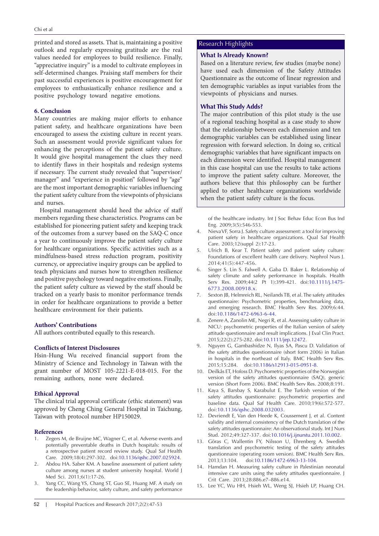printed and stored as assets. That is, maintaining a positive outlook and regularly expressing gratitude are the real values needed for employees to build resilience. Finally, "appreciative inquiry" is a model to cultivate employees in self-determined changes. Praising staff members for their past successful experiences is positive encouragement for employees to enthusiastically enhance resilience and a positive psychology toward negative emotions.

# **6. Conclusion**

Many countries are making major efforts to enhance patient safety, and healthcare organizations have been encouraged to assess the existing culture in recent years. Such an assessment would provide significant values for enhancing the perceptions of the patient safety culture. It would give hospital management the clues they need to identify flaws in their hospitals and redesign systems if necessary. The current study revealed that "supervisor/ manager" and "experience in position" followed by "age" are the most important demographic variables influencing the patient safety culture from the viewpoints of physicians and nurses.

Hospital management should heed the advice of staff members regarding these characteristics. Programs can be established for pioneering patient safety and keeping track of the outcomes from a survey based on the SAQ-C once a year to continuously improve the patient safety culture for healthcare organizations. Specific activities such as a mindfulness-based stress reduction program, positivity currency, or appreciative inquiry groups can be applied to teach physicians and nurses how to strengthen resilience and positive psychology toward negative emotions. Finally, the patient safety culture as viewed by the staff should be tracked on a yearly basis to monitor performance trends in order for healthcare organizations to provide a better healthcare environment for their patients.

## **Authors' Contributions**

All authors contributed equally to this research.

## **Conflicts of Interest Disclosures**

Hsin-Hung Wu received financial support from the Ministry of Science and Technology in Taiwan with the grant number of MOST 105-2221-E-018-015. For the remaining authors, none were declared.

# **Ethical Approval**

The clinical trial approval certificate (ethic statement) was approved by Cheng Ching General Hospital in Taichung, Taiwan with protocol number HP150029.

#### **References**

- <span id="page-5-0"></span>Zegers M, de Bruijne MC, Wagner C, et al. Adverse events and potentially preventable deaths in Dutch hospitals: results of a retrospective patient record review study. Qual Saf Health Care. 2009;18(4):297-302. doi[:10.1136/qshc.2007.025924](http://dx.doi.org/10.1136/qshc.2007.025924).
- <span id="page-5-1"></span>2. Abdou HA. Saber KM. A baseline assessment of patient safety culture among nurses at student university hospital. World I Med Sci. 2011;6(1):17-26.
- <span id="page-5-2"></span>3. Yang CC, Wang YS, Chang ST, Guo SE, Huang MF. A study on the leadership behavior, safety culture, and safety performance

#### 52 | Hospital Practices and Research 2017;2(2):47-53

## Research Highlights

#### **What Is Already Known?**

Based on a literature review, few studies (maybe none) have used each dimension of the Safety Attitudes Questionnaire as the outcome of linear regression and ten demographic variables as input variables from the viewpoints of physicians and nurses.

### **What This Study Adds?**

The major contribution of this pilot study is the use of a regional teaching hospital as a case study to show that the relationship between each dimension and ten demographic variables can be established using linear regression with forward selection. In doing so, critical demographic variables that have significant impacts on each dimension were identified. Hospital management in this case hospital can use the results to take actions to improve the patient safety culture. Moreover, the authors believe that this philosophy can be further applied to other healthcare organizations worldwide when the patient safety culture is the focus.

<span id="page-5-3"></span>of the healthcare industry. Int J Soc Behav Educ Econ Bus Ind Eng. 2009;3(5):546-553.

- 4. Nieva VF, Sorra J. Safety culture assessment: a tool for improving patient safety in healthcare organizations. Qual Saf Health Care. 2003;12(suppl 2):17-23.
- <span id="page-5-4"></span>5. Ulrich B, Kear T. Patient safety and patient safety culture: Foundations of excellent health care delivery. Nephrol Nurs J. 2014;41(5):447-456.
- <span id="page-5-5"></span>6. Singer S. Lin S. Falwell A. Gaba D. Baker L. Relationship of safety climate and safety performance in hospitals. Health Serv Res. 2009;44(2 Pt 1):399-421. doi[:10.1111/j.1475-](http://dx.doi.org/10.1111/j.1475-6773.2008.00918.x10.1111/j.1475-6773.2008.00918.x) [6773.2008.00918.x](http://dx.doi.org/10.1111/j.1475-6773.2008.00918.x10.1111/j.1475-6773.2008.00918.x).
- <span id="page-5-6"></span>7. Sexton JB, Helmreich RL, Neilands TB, et al. The safety attitudes questionnaire: Psychometric properties, benchmarking data, and emerging research. BMC Health Serv Res. 2009;6:44. doi:[10.1186/1472-6963-6-44.](http://dx.doi.org/10.1186/1472-6963-6-44)
- 8. Zenere A, Zanolin ME, Negri R, et al. Assessing safety culture in NICU: psychometric properties of the Italian version of safety attitude questionnaire and result implications. J Eval Clin Pract. 2015;22(2):275-282. doi:[10.1111/jep.12472.](http://dx.doi.org/10.1111/jep.12472)
- <span id="page-5-7"></span>9. Nguyen G, Gambashidze N, Ilyas SA, Pascu D. Validation of the safety attitudes questionnaire (short form 2006) in Italian in hospitals in the northeast of Italy. BMC Health Serv Res. 2015;15:284. doi[:10.1186/s12913-015-0951-8](http://dx.doi.org/10.1186/s12913-015-0951-8).
- 10. Deilkås ET, Hofoss D. Psychometric properties of the Norwegian version of the safety attitudes questionnaire (SAQ), generic version (Short Form 2006). BMC Health Serv Res. 2008;8:191.
- 11. Kaya S, Barsbay S, Karabulut E. The Turkish version of the safety attitudes questionnaire: psychometric properties and baseline data. Qual Saf Health Care. 2010;19(6):572-577. doi:[10.1136/qshc.2008.032003](http://dx.doi.org/10.1136/qshc.2008.032003).
- 12. Devriendt E, Van den Heede K, Coussement J, et al. Content validity and internal consistency of the Dutch translation of the safety attitudes questionnaire: An observational study. Int J Nurs Stud. 2012;49:327-337. doi[:10.1016/j.ijnurstu.2011.10.002](http://dx.doi.org/10.1016/j.ijnurstu.2011.10.002).
- 13. Göras C, Wallentin FY, Nilsson U, Ehrenberg A. Swedish translation and psychometric testing of the safety attitudes questionnaire (operating room version). BMC Health Serv Res. 2013;13:104. doi:[10.1186/1472-6963-13-104.](http://dx.doi.org/10.1186/1472-6963-13-104)
- 14. Hamdan H. Measuring safety culture in Palestinian neonatal intensive care units using the safety attitudes questionnaire. J Crit Care. 2013;28:886.e7–886.e14.
- <span id="page-5-8"></span>15. Lee YC, Wu HH, Hsieh WL, Weng SJ, Hsieh LP, Huang CH.